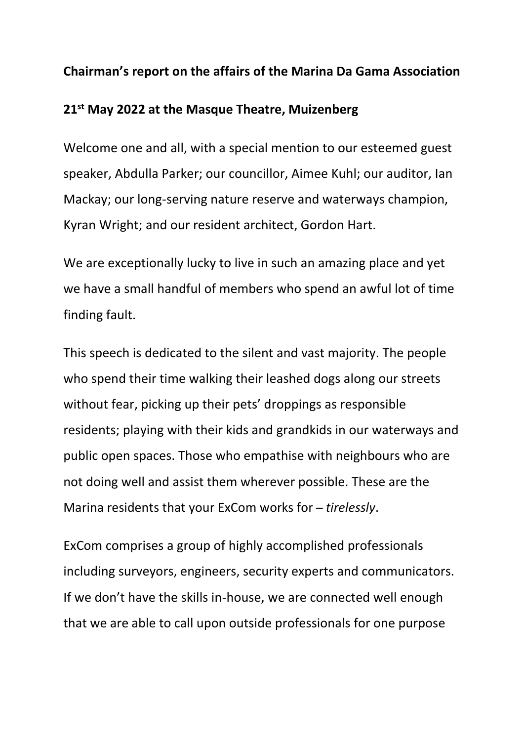## **Chairman's report on the affairs of the Marina Da Gama Association**

## **21st May 2022 at the Masque Theatre, Muizenberg**

Welcome one and all, with a special mention to our esteemed guest speaker, Abdulla Parker; our councillor, Aimee Kuhl; our auditor, Ian Mackay; our long-serving nature reserve and waterways champion, Kyran Wright; and our resident architect, Gordon Hart.

We are exceptionally lucky to live in such an amazing place and yet we have a small handful of members who spend an awful lot of time finding fault.

This speech is dedicated to the silent and vast majority. The people who spend their time walking their leashed dogs along our streets without fear, picking up their pets' droppings as responsible residents; playing with their kids and grandkids in our waterways and public open spaces. Those who empathise with neighbours who are not doing well and assist them wherever possible. These are the Marina residents that your ExCom works for ̶*tirelessly*.

ExCom comprises a group of highly accomplished professionals including surveyors, engineers, security experts and communicators. If we don't have the skills in-house, we are connected well enough that we are able to call upon outside professionals for one purpose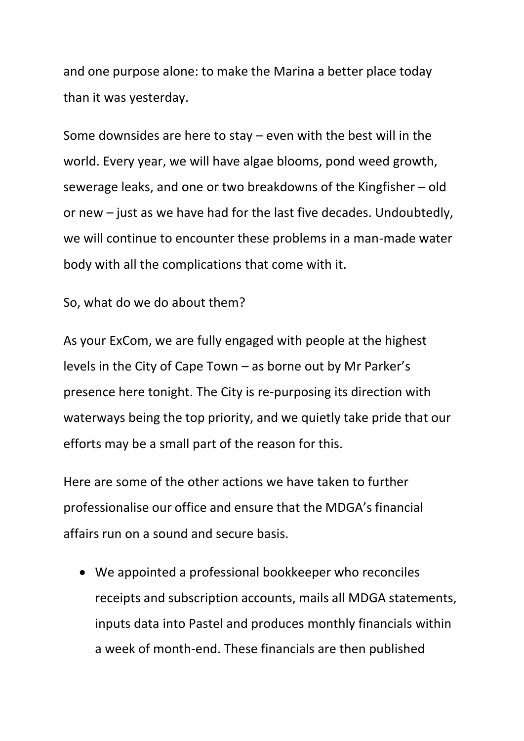and one purpose alone: to make the Marina a better place today than it was yesterday.

Some downsides are here to stay – even with the best will in the world. Every year, we will have algae blooms, pond weed growth, sewerage leaks, and one or two breakdowns of the Kingfisher – old or new – just as we have had for the last five decades. Undoubtedly, we will continue to encounter these problems in a man-made water body with all the complications that come with it.

So, what do we do about them?

As your ExCom, we are fully engaged with people at the highest levels in the City of Cape Town – as borne out by Mr Parker's presence here tonight. The City is re-purposing its direction with waterways being the top priority, and we quietly take pride that our efforts may be a small part of the reason for this.

Here are some of the other actions we have taken to further professionalise our office and ensure that the MDGA's financial affairs run on a sound and secure basis.

• We appointed a professional bookkeeper who reconciles receipts and subscription accounts, mails all MDGA statements, inputs data into Pastel and produces monthly financials within a week of month-end. These financials are then published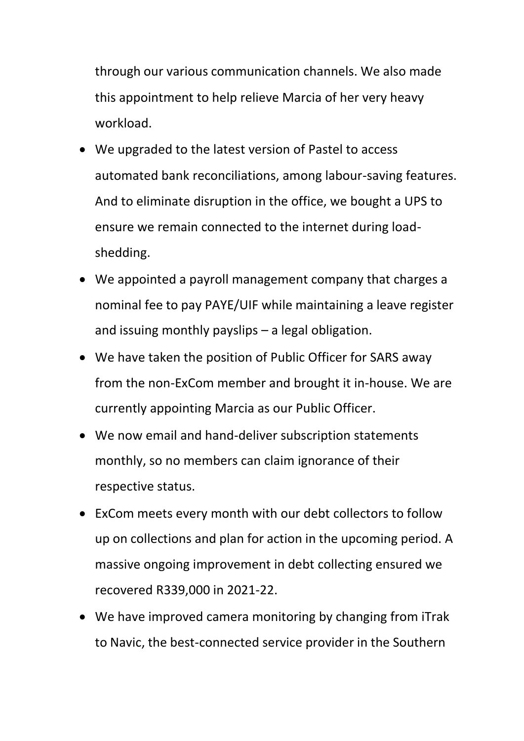through our various communication channels. We also made this appointment to help relieve Marcia of her very heavy workload.

- We upgraded to the latest version of Pastel to access automated bank reconciliations, among labour-saving features. And to eliminate disruption in the office, we bought a UPS to ensure we remain connected to the internet during loadshedding.
- We appointed a payroll management company that charges a nominal fee to pay PAYE/UIF while maintaining a leave register and issuing monthly payslips – a legal obligation.
- We have taken the position of Public Officer for SARS away from the non-ExCom member and brought it in-house. We are currently appointing Marcia as our Public Officer.
- We now email and hand-deliver subscription statements monthly, so no members can claim ignorance of their respective status.
- ExCom meets every month with our debt collectors to follow up on collections and plan for action in the upcoming period. A massive ongoing improvement in debt collecting ensured we recovered R339,000 in 2021-22.
- We have improved camera monitoring by changing from iTrak to Navic, the best-connected service provider in the Southern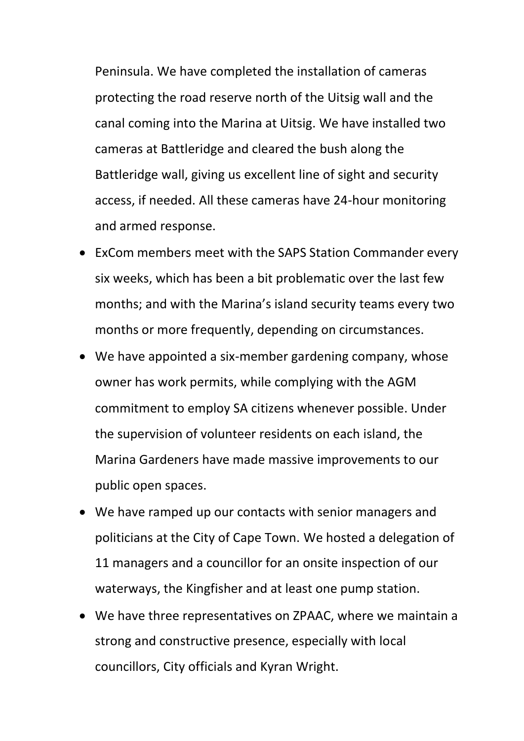Peninsula. We have completed the installation of cameras protecting the road reserve north of the Uitsig wall and the canal coming into the Marina at Uitsig. We have installed two cameras at Battleridge and cleared the bush along the Battleridge wall, giving us excellent line of sight and security access, if needed. All these cameras have 24-hour monitoring and armed response.

- ExCom members meet with the SAPS Station Commander every six weeks, which has been a bit problematic over the last few months; and with the Marina's island security teams every two months or more frequently, depending on circumstances.
- We have appointed a six-member gardening company, whose owner has work permits, while complying with the AGM commitment to employ SA citizens whenever possible. Under the supervision of volunteer residents on each island, the Marina Gardeners have made massive improvements to our public open spaces.
- We have ramped up our contacts with senior managers and politicians at the City of Cape Town. We hosted a delegation of 11 managers and a councillor for an onsite inspection of our waterways, the Kingfisher and at least one pump station.
- We have three representatives on ZPAAC, where we maintain a strong and constructive presence, especially with local councillors, City officials and Kyran Wright.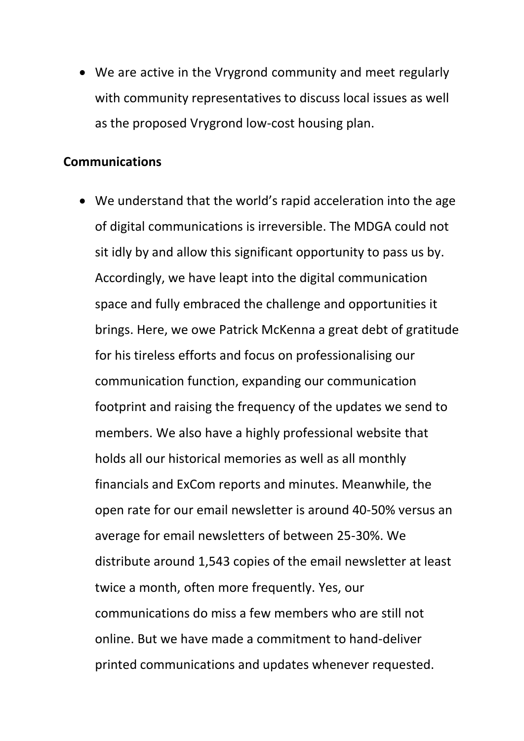• We are active in the Vrygrond community and meet regularly with community representatives to discuss local issues as well as the proposed Vrygrond low-cost housing plan.

## **Communications**

• We understand that the world's rapid acceleration into the age of digital communications is irreversible. The MDGA could not sit idly by and allow this significant opportunity to pass us by. Accordingly, we have leapt into the digital communication space and fully embraced the challenge and opportunities it brings. Here, we owe Patrick McKenna a great debt of gratitude for his tireless efforts and focus on professionalising our communication function, expanding our communication footprint and raising the frequency of the updates we send to members. We also have a highly professional website that holds all our historical memories as well as all monthly financials and ExCom reports and minutes. Meanwhile, the open rate for our email newsletter is around 40-50% versus an average for email newsletters of between 25-30%. We distribute around 1,543 copies of the email newsletter at least twice a month, often more frequently. Yes, our communications do miss a few members who are still not online. But we have made a commitment to hand-deliver printed communications and updates whenever requested.